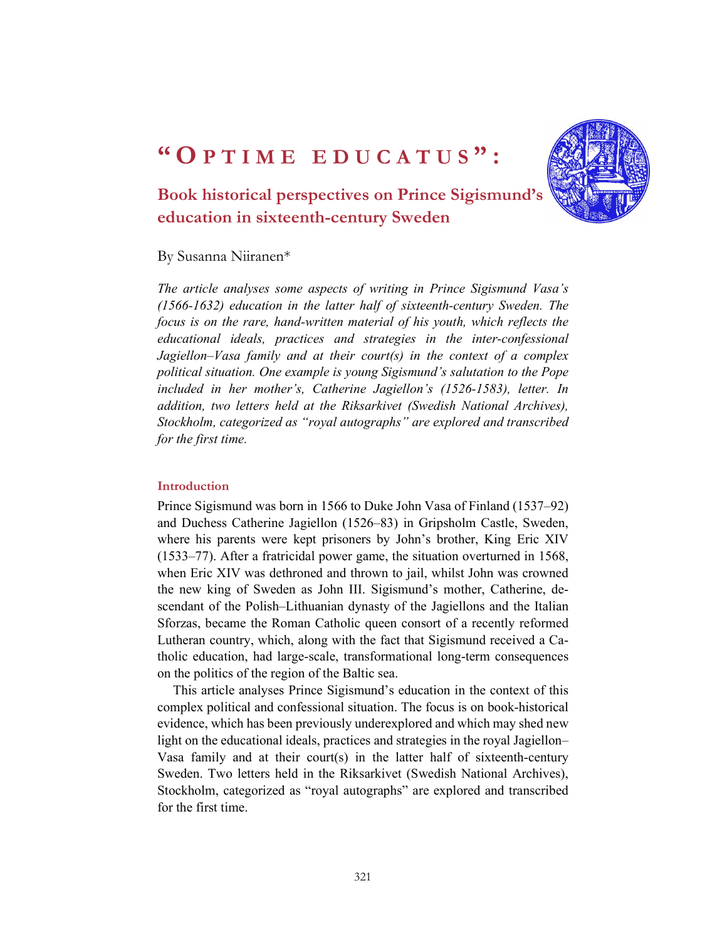

# " O P T I M E E D U C A T U S " :<br>Book historical perspectives on Prince Sigismund's education in sixteenth-century Sweden Book historical perspectives on Prince Sigismund's education in sixteenth-century Sweden

## By Susanna Niiranen\*

The article analyses some aspects of writing in Prince Sigismund Vasa's (1566-1632) education in the latter half of sixteenth-century Sweden. The focus is on the rare, hand-written material of his youth, which reflects the educational ideals, practices and strategies in the inter-confessional Jagiellon–Vasa family and at their court(s) in the context of a complex political situation. One example is young Sigismund's salutation to the Pope included in her mother's, Catherine Jagiellon's (1526-1583), letter. In addition, two letters held at the Riksarkivet (Swedish National Archives), Stockholm, categorized as "royal autographs" are explored and transcribed for the first time.

#### **Introduction**

Prince Sigismund was born in 1566 to Duke John Vasa of Finland (1537–92) and Duchess Catherine Jagiellon (1526–83) in Gripsholm Castle, Sweden, where his parents were kept prisoners by John's brother, King Eric XIV (1533–77). After a fratricidal power game, the situation overturned in 1568, when Eric XIV was dethroned and thrown to jail, whilst John was crowned the new king of Sweden as John III. Sigismund's mother, Catherine, descendant of the Polish–Lithuanian dynasty of the Jagiellons and the Italian Sforzas, became the Roman Catholic queen consort of a recently reformed Lutheran country, which, along with the fact that Sigismund received a Catholic education, had large-scale, transformational long-term consequences on the politics of the region of the Baltic sea.

This article analyses Prince Sigismund's education in the context of this complex political and confessional situation. The focus is on book-historical evidence, which has been previously underexplored and which may shed new light on the educational ideals, practices and strategies in the royal Jagiellon– Vasa family and at their court(s) in the latter half of sixteenth-century Sweden. Two letters held in the Riksarkivet (Swedish National Archives), Stockholm, categorized as "royal autographs" are explored and transcribed for the first time.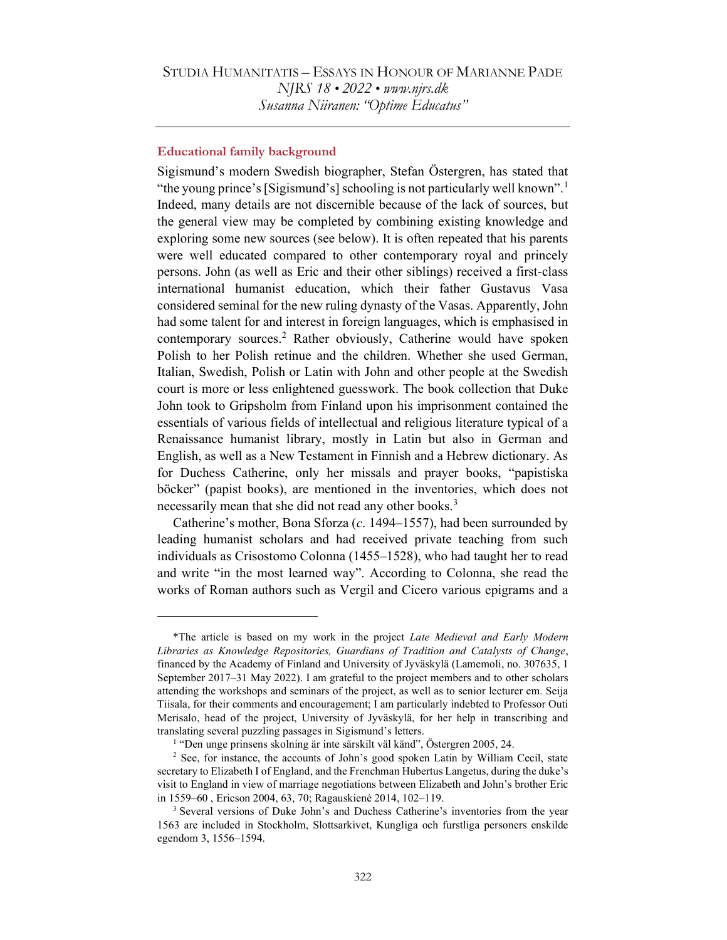#### Educational family background

Sigismund's modern Swedish biographer, Stefan Östergren, has stated that "the young prince's [Sigismund's] schooling is not particularly well known".<sup>1</sup> Indeed, many details are not discernible because of the lack of sources, but the general view may be completed by combining existing knowledge and exploring some new sources (see below). It is often repeated that his parents were well educated compared to other contemporary royal and princely persons. John (as well as Eric and their other siblings) received a first-class international humanist education, which their father Gustavus Vasa considered seminal for the new ruling dynasty of the Vasas. Apparently, John had some talent for and interest in foreign languages, which is emphasised in contemporary sources.<sup>2</sup> Rather obviously, Catherine would have spoken Polish to her Polish retinue and the children. Whether she used German, Italian, Swedish, Polish or Latin with John and other people at the Swedish court is more or less enlightened guesswork. The book collection that Duke John took to Gripsholm from Finland upon his imprisonment contained the essentials of various fields of intellectual and religious literature typical of a Renaissance humanist library, mostly in Latin but also in German and English, as well as a New Testament in Finnish and a Hebrew dictionary. As for Duchess Catherine, only her missals and prayer books, "papistiska böcker" (papist books), are mentioned in the inventories, which does not necessarily mean that she did not read any other books.<sup>3</sup>

Catherine's mother, Bona Sforza (c. 1494–1557), had been surrounded by leading humanist scholars and had received private teaching from such individuals as Crisostomo Colonna (1455–1528), who had taught her to read and write "in the most learned way". According to Colonna, she read the works of Roman authors such as Vergil and Cicero various epigrams and a

<sup>\*</sup>The article is based on my work in the project Late Medieval and Early Modern Libraries as Knowledge Repositories, Guardians of Tradition and Catalysts of Change, financed by the Academy of Finland and University of Jyväskylä (Lamemoli, no. 307635, 1 September 2017–31 May 2022). I am grateful to the project members and to other scholars attending the workshops and seminars of the project, as well as to senior lecturer em. Seija Tiisala, for their comments and encouragement; I am particularly indebted to Professor Outi Merisalo, head of the project, University of Jyväskylä, for her help in transcribing and translating several puzzling passages in Sigismund's letters.

<sup>&</sup>lt;sup>1</sup> "Den unge prinsens skolning är inte särskilt väl känd", Östergren 2005, 24.

<sup>&</sup>lt;sup>2</sup> See, for instance, the accounts of John's good spoken Latin by William Cecil, state secretary to Elizabeth I of England, and the Frenchman Hubertus Langetus, during the duke's visit to England in view of marriage negotiations between Elizabeth and John's brother Eric in 1559–60 , Ericson 2004, 63, 70; Ragauskienė 2014, 102–119.

<sup>&</sup>lt;sup>3</sup> Several versions of Duke John's and Duchess Catherine's inventories from the year 1563 are included in Stockholm, Slottsarkivet, Kungliga och furstliga personers enskilde egendom 3, 1556–1594.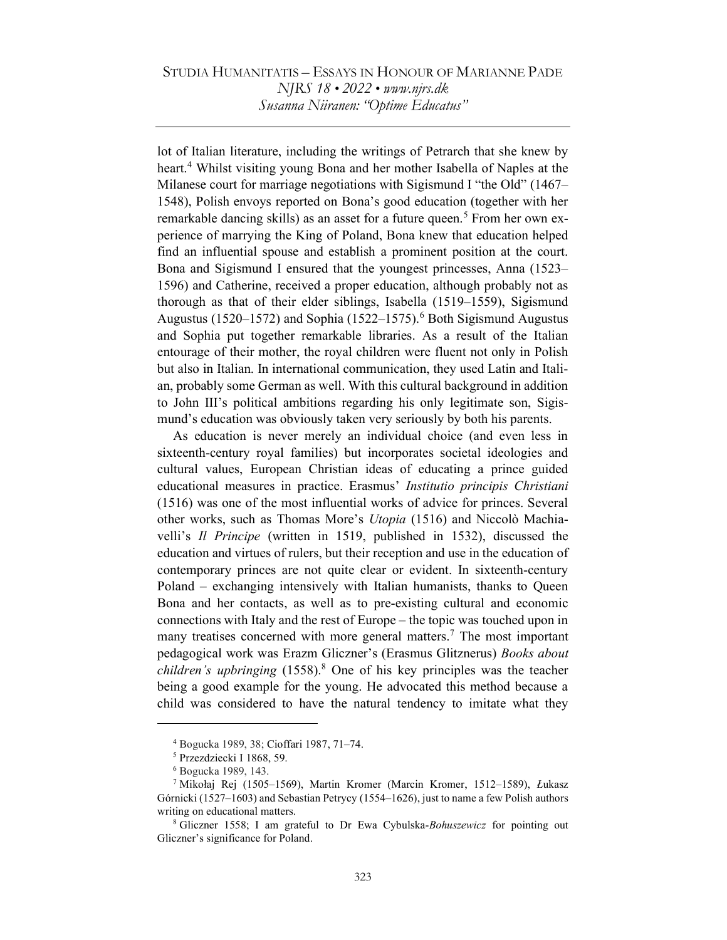lot of Italian literature, including the writings of Petrarch that she knew by heart.<sup>4</sup> Whilst visiting young Bona and her mother Isabella of Naples at the Milanese court for marriage negotiations with Sigismund I "the Old" (1467– 1548), Polish envoys reported on Bona's good education (together with her remarkable dancing skills) as an asset for a future queen.<sup>5</sup> From her own experience of marrying the King of Poland, Bona knew that education helped find an influential spouse and establish a prominent position at the court. Bona and Sigismund I ensured that the youngest princesses, Anna (1523– 1596) and Catherine, received a proper education, although probably not as thorough as that of their elder siblings, Isabella (1519–1559), Sigismund Augustus (1520–1572) and Sophia (1522–1575).<sup>6</sup> Both Sigismund Augustus and Sophia put together remarkable libraries. As a result of the Italian entourage of their mother, the royal children were fluent not only in Polish but also in Italian. In international communication, they used Latin and Italian, probably some German as well. With this cultural background in addition to John III's political ambitions regarding his only legitimate son, Sigismund's education was obviously taken very seriously by both his parents.

As education is never merely an individual choice (and even less in sixteenth-century royal families) but incorporates societal ideologies and cultural values, European Christian ideas of educating a prince guided educational measures in practice. Erasmus' Institutio principis Christiani (1516) was one of the most influential works of advice for princes. Several other works, such as Thomas More's Utopia (1516) and Niccolò Machiavelli's Il Principe (written in 1519, published in 1532), discussed the education and virtues of rulers, but their reception and use in the education of contemporary princes are not quite clear or evident. In sixteenth-century Poland – exchanging intensively with Italian humanists, thanks to Queen Bona and her contacts, as well as to pre-existing cultural and economic connections with Italy and the rest of Europe – the topic was touched upon in many treatises concerned with more general matters.<sup>7</sup> The most important pedagogical work was Erazm Gliczner's (Erasmus Glitznerus) Books about *children's upbringing*  $(1558)^8$  One of his key principles was the teacher being a good example for the young. He advocated this method because a child was considered to have the natural tendency to imitate what they

<sup>4</sup> Bogucka 1989, 38; Cioffari 1987, 71–74.

<sup>5</sup> Przezdziecki I 1868, 59.

<sup>6</sup> Bogucka 1989, 143.

<sup>7</sup> Mikołaj Rej (1505–1569), Martin Kromer (Marcin Kromer, 1512–1589), Łukasz Górnicki (1527–1603) and Sebastian Petrycy (1554–1626), just to name a few Polish authors writing on educational matters.

<sup>&</sup>lt;sup>8</sup> Gliczner 1558; I am grateful to Dr Ewa Cybulska-Bohuszewicz for pointing out Gliczner's significance for Poland.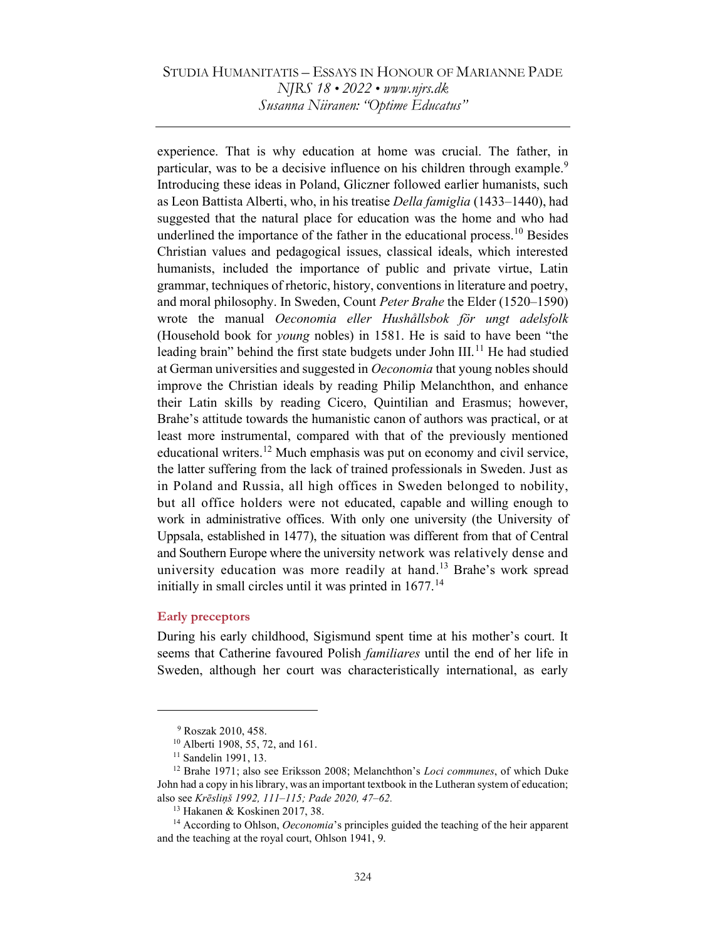experience. That is why education at home was crucial. The father, in particular, was to be a decisive influence on his children through example.<sup>9</sup> Introducing these ideas in Poland, Gliczner followed earlier humanists, such as Leon Battista Alberti, who, in his treatise Della famiglia (1433–1440), had suggested that the natural place for education was the home and who had underlined the importance of the father in the educational process.<sup>10</sup> Besides Christian values and pedagogical issues, classical ideals, which interested humanists, included the importance of public and private virtue, Latin grammar, techniques of rhetoric, history, conventions in literature and poetry, and moral philosophy. In Sweden, Count Peter Brahe the Elder (1520–1590) wrote the manual Oeconomia eller Hushållsbok för ungt adelsfolk (Household book for young nobles) in 1581. He is said to have been "the leading brain" behind the first state budgets under John III.<sup>11</sup> He had studied at German universities and suggested in *Oeconomia* that young nobles should improve the Christian ideals by reading Philip Melanchthon, and enhance their Latin skills by reading Cicero, Quintilian and Erasmus; however, Brahe's attitude towards the humanistic canon of authors was practical, or at least more instrumental, compared with that of the previously mentioned educational writers.<sup>12</sup> Much emphasis was put on economy and civil service, the latter suffering from the lack of trained professionals in Sweden. Just as in Poland and Russia, all high offices in Sweden belonged to nobility, but all office holders were not educated, capable and willing enough to work in administrative offices. With only one university (the University of Uppsala, established in 1477), the situation was different from that of Central and Southern Europe where the university network was relatively dense and university education was more readily at hand.<sup>13</sup> Brahe's work spread initially in small circles until it was printed in 1677.<sup>14</sup>

### Early preceptors

During his early childhood, Sigismund spent time at his mother's court. It seems that Catherine favoured Polish *familiares* until the end of her life in Sweden, although her court was characteristically international, as early

 9 Roszak 2010, 458.

<sup>10</sup> Alberti 1908, 55, 72, and 161.

<sup>&</sup>lt;sup>11</sup> Sandelin 1991, 13.

 $12$  Brahe 1971; also see Eriksson 2008; Melanchthon's *Loci communes*, of which Duke John had a copy in his library, was an important textbook in the Lutheran system of education; also see Krēsliņš 1992, 111–115; Pade 2020, 47–62.

<sup>13</sup> Hakanen & Koskinen 2017, 38.

<sup>&</sup>lt;sup>14</sup> According to Ohlson, *Oeconomia'*s principles guided the teaching of the heir apparent and the teaching at the royal court, Ohlson 1941, 9.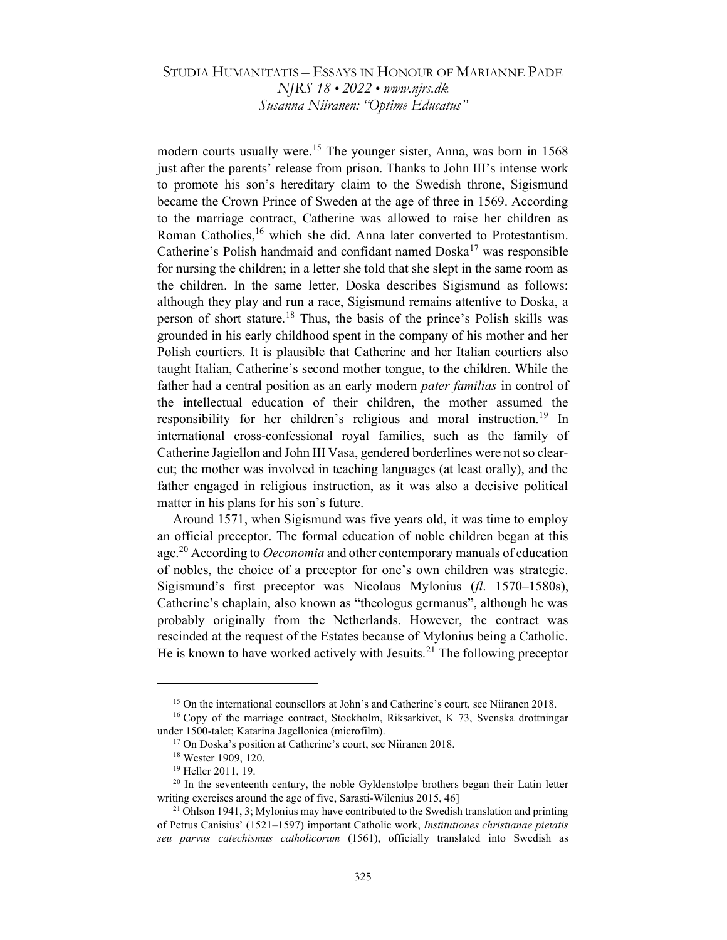modern courts usually were.<sup>15</sup> The younger sister, Anna, was born in 1568 just after the parents' release from prison. Thanks to John III's intense work to promote his son's hereditary claim to the Swedish throne, Sigismund became the Crown Prince of Sweden at the age of three in 1569. According to the marriage contract, Catherine was allowed to raise her children as Roman Catholics,<sup>16</sup> which she did. Anna later converted to Protestantism. Catherine's Polish handmaid and confidant named  $Doska<sup>17</sup>$  was responsible for nursing the children; in a letter she told that she slept in the same room as the children. In the same letter, Doska describes Sigismund as follows: although they play and run a race, Sigismund remains attentive to Doska, a person of short stature.<sup>18</sup> Thus, the basis of the prince's Polish skills was grounded in his early childhood spent in the company of his mother and her Polish courtiers. It is plausible that Catherine and her Italian courtiers also taught Italian, Catherine's second mother tongue, to the children. While the father had a central position as an early modern pater familias in control of the intellectual education of their children, the mother assumed the responsibility for her children's religious and moral instruction.<sup>19</sup> In international cross-confessional royal families, such as the family of Catherine Jagiellon and John III Vasa, gendered borderlines were not so clearcut; the mother was involved in teaching languages (at least orally), and the father engaged in religious instruction, as it was also a decisive political matter in his plans for his son's future.

Around 1571, when Sigismund was five years old, it was time to employ an official preceptor. The formal education of noble children began at this age.<sup>20</sup> According to *Oeconomia* and other contemporary manuals of education of nobles, the choice of a preceptor for one's own children was strategic. Sigismund's first preceptor was Nicolaus Mylonius (fl. 1570–1580s), Catherine's chaplain, also known as "theologus germanus", although he was probably originally from the Netherlands. However, the contract was rescinded at the request of the Estates because of Mylonius being a Catholic. He is known to have worked actively with Jesuits.<sup>21</sup> The following preceptor

<sup>&</sup>lt;sup>15</sup> On the international counsellors at John's and Catherine's court, see Niiranen 2018. <sup>16</sup> Copy of the marriage contract, Stockholm, Riksarkivet, K 73, Svenska drottningar under 1500-talet; Katarina Jagellonica (microfilm).

<sup>17</sup> On Doska's position at Catherine's court, see Niiranen 2018.

<sup>18</sup> Wester 1909, 120.

<sup>19</sup> Heller 2011, 19.

 $20$  In the seventeenth century, the noble Gyldenstolpe brothers began their Latin letter writing exercises around the age of five, Sarasti-Wilenius 2015, 46]

<sup>&</sup>lt;sup>21</sup> Ohlson 1941, 3; Mylonius may have contributed to the Swedish translation and printing of Petrus Canisius' (1521–1597) important Catholic work, Institutiones christianae pietatis seu parvus catechismus catholicorum (1561), officially translated into Swedish as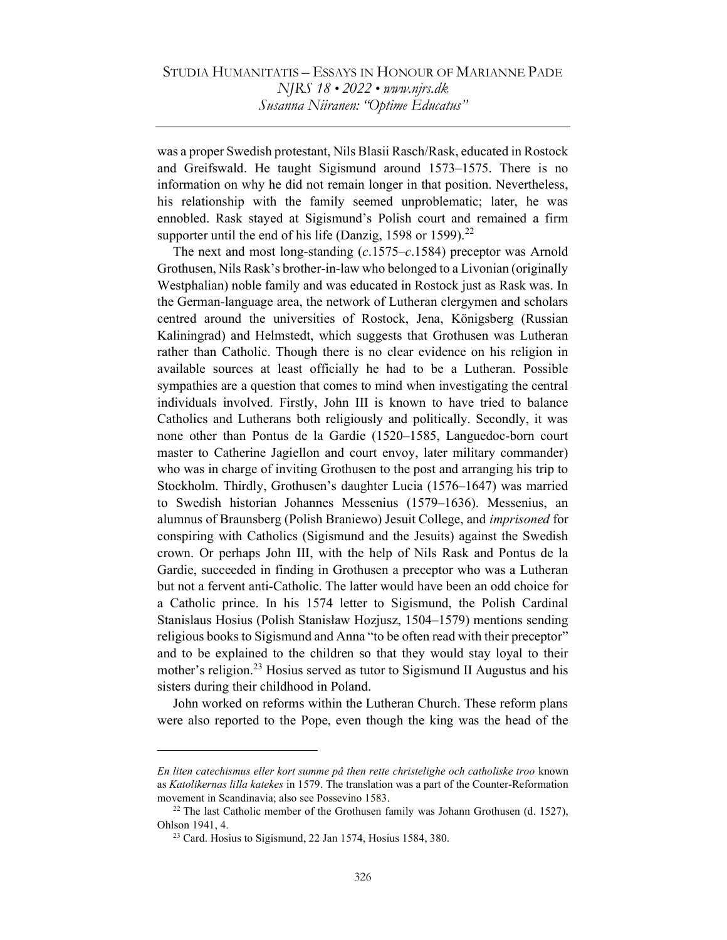was a proper Swedish protestant, Nils Blasii Rasch/Rask, educated in Rostock and Greifswald. He taught Sigismund around 1573–1575. There is no information on why he did not remain longer in that position. Nevertheless, his relationship with the family seemed unproblematic; later, he was ennobled. Rask stayed at Sigismund's Polish court and remained a firm supporter until the end of his life (Danzig, 1598 or 1599).<sup>22</sup>

The next and most long-standing  $(c.1575-c.1584)$  preceptor was Arnold Grothusen, Nils Rask's brother-in-law who belonged to a Livonian (originally Westphalian) noble family and was educated in Rostock just as Rask was. In the German-language area, the network of Lutheran clergymen and scholars centred around the universities of Rostock, Jena, Königsberg (Russian Kaliningrad) and Helmstedt, which suggests that Grothusen was Lutheran rather than Catholic. Though there is no clear evidence on his religion in available sources at least officially he had to be a Lutheran. Possible sympathies are a question that comes to mind when investigating the central individuals involved. Firstly, John III is known to have tried to balance Catholics and Lutherans both religiously and politically. Secondly, it was none other than Pontus de la Gardie (1520–1585, Languedoc-born court master to Catherine Jagiellon and court envoy, later military commander) who was in charge of inviting Grothusen to the post and arranging his trip to Stockholm. Thirdly, Grothusen's daughter Lucia (1576–1647) was married to Swedish historian Johannes Messenius (1579–1636). Messenius, an alumnus of Braunsberg (Polish Braniewo) Jesuit College, and imprisoned for conspiring with Catholics (Sigismund and the Jesuits) against the Swedish crown. Or perhaps John III, with the help of Nils Rask and Pontus de la Gardie, succeeded in finding in Grothusen a preceptor who was a Lutheran but not a fervent anti-Catholic. The latter would have been an odd choice for a Catholic prince. In his 1574 letter to Sigismund, the Polish Cardinal Stanislaus Hosius (Polish Stanisław Hozjusz, 1504–1579) mentions sending religious books to Sigismund and Anna "to be often read with their preceptor" and to be explained to the children so that they would stay loyal to their mother's religion.<sup>23</sup> Hosius served as tutor to Sigismund II Augustus and his sisters during their childhood in Poland.

John worked on reforms within the Lutheran Church. These reform plans were also reported to the Pope, even though the king was the head of the

En liten catechismus eller kort summe på then rette christelighe och catholiske troo known as Katolikernas lilla katekes in 1579. The translation was a part of the Counter-Reformation movement in Scandinavia; also see Possevino 1583.

<sup>&</sup>lt;sup>22</sup> The last Catholic member of the Grothusen family was Johann Grothusen (d. 1527), Ohlson 1941, 4.

<sup>23</sup> Card. Hosius to Sigismund, 22 Jan 1574, Hosius 1584, 380.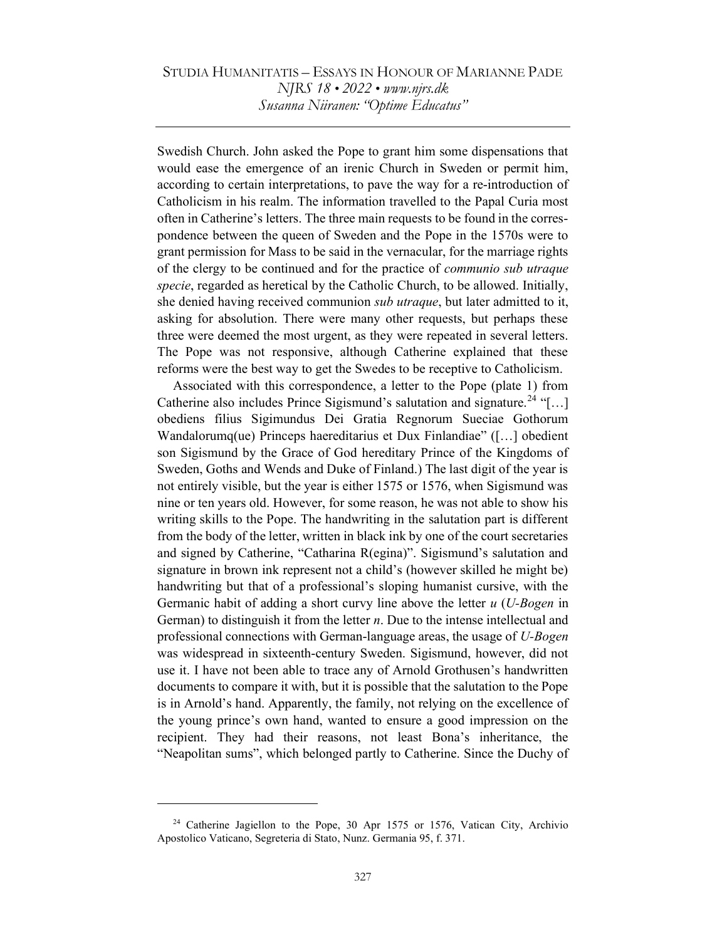Swedish Church. John asked the Pope to grant him some dispensations that would ease the emergence of an irenic Church in Sweden or permit him, according to certain interpretations, to pave the way for a re-introduction of Catholicism in his realm. The information travelled to the Papal Curia most often in Catherine's letters. The three main requests to be found in the correspondence between the queen of Sweden and the Pope in the 1570s were to grant permission for Mass to be said in the vernacular, for the marriage rights of the clergy to be continued and for the practice of communio sub utraque specie, regarded as heretical by the Catholic Church, to be allowed. Initially, she denied having received communion *sub utraque*, but later admitted to it, asking for absolution. There were many other requests, but perhaps these three were deemed the most urgent, as they were repeated in several letters. The Pope was not responsive, although Catherine explained that these reforms were the best way to get the Swedes to be receptive to Catholicism.

Associated with this correspondence, a letter to the Pope (plate 1) from Catherine also includes Prince Sigismund's salutation and signature.<sup>24</sup> "[...] obediens filius Sigimundus Dei Gratia Regnorum Sueciae Gothorum Wandalorumq(ue) Princeps haereditarius et Dux Finlandiae" ([…] obedient son Sigismund by the Grace of God hereditary Prince of the Kingdoms of Sweden, Goths and Wends and Duke of Finland.) The last digit of the year is not entirely visible, but the year is either 1575 or 1576, when Sigismund was nine or ten years old. However, for some reason, he was not able to show his writing skills to the Pope. The handwriting in the salutation part is different from the body of the letter, written in black ink by one of the court secretaries and signed by Catherine, "Catharina R(egina)". Sigismund's salutation and signature in brown ink represent not a child's (however skilled he might be) handwriting but that of a professional's sloping humanist cursive, with the Germanic habit of adding a short curvy line above the letter  $u$  (*U-Bogen* in German) to distinguish it from the letter  $n$ . Due to the intense intellectual and professional connections with German-language areas, the usage of U-Bogen was widespread in sixteenth-century Sweden. Sigismund, however, did not use it. I have not been able to trace any of Arnold Grothusen's handwritten documents to compare it with, but it is possible that the salutation to the Pope is in Arnold's hand. Apparently, the family, not relying on the excellence of the young prince's own hand, wanted to ensure a good impression on the recipient. They had their reasons, not least Bona's inheritance, the "Neapolitan sums", which belonged partly to Catherine. Since the Duchy of

<sup>&</sup>lt;sup>24</sup> Catherine Jagiellon to the Pope, 30 Apr 1575 or 1576, Vatican City, Archivio Apostolico Vaticano, Segreteria di Stato, Nunz. Germania 95, f. 371.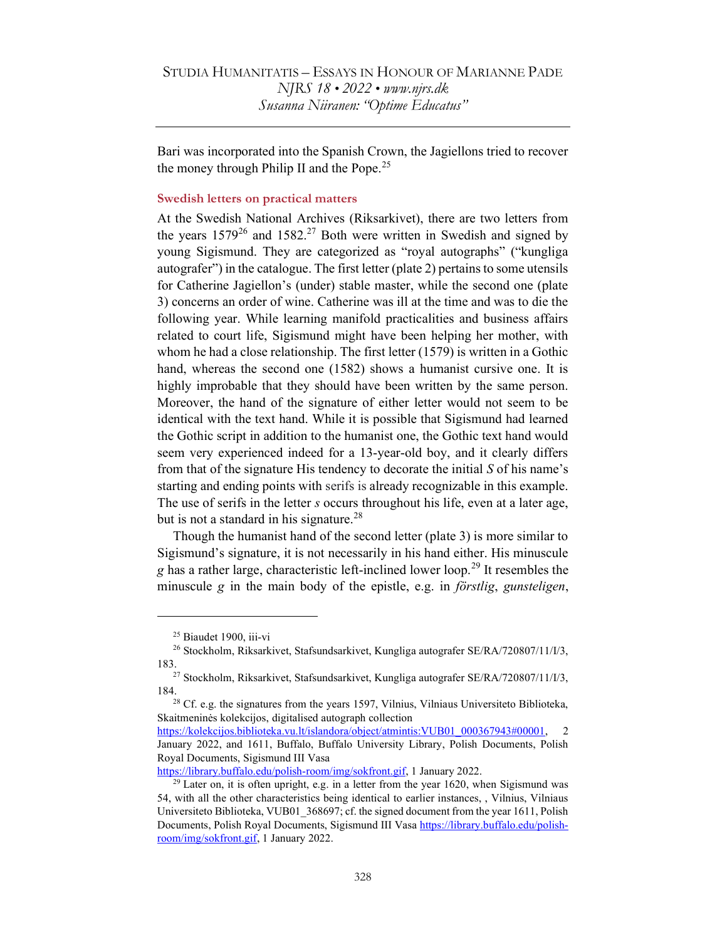Bari was incorporated into the Spanish Crown, the Jagiellons tried to recover the money through Philip II and the Pope.<sup>25</sup>

#### Swedish letters on practical matters

At the Swedish National Archives (Riksarkivet), there are two letters from the years  $1579^{26}$  and  $1582<sup>27</sup>$  Both were written in Swedish and signed by young Sigismund. They are categorized as "royal autographs" ("kungliga autografer") in the catalogue. The first letter (plate 2) pertains to some utensils for Catherine Jagiellon's (under) stable master, while the second one (plate 3) concerns an order of wine. Catherine was ill at the time and was to die the following year. While learning manifold practicalities and business affairs related to court life, Sigismund might have been helping her mother, with whom he had a close relationship. The first letter (1579) is written in a Gothic hand, whereas the second one (1582) shows a humanist cursive one. It is highly improbable that they should have been written by the same person. Moreover, the hand of the signature of either letter would not seem to be identical with the text hand. While it is possible that Sigismund had learned the Gothic script in addition to the humanist one, the Gothic text hand would seem very experienced indeed for a 13-year-old boy, and it clearly differs from that of the signature His tendency to decorate the initial  $S$  of his name's starting and ending points with serifs is already recognizable in this example. The use of serifs in the letter s occurs throughout his life, even at a later age, but is not a standard in his signature.<sup>28</sup>

Though the humanist hand of the second letter (plate 3) is more similar to Sigismund's signature, it is not necessarily in his hand either. His minuscule g has a rather large, characteristic left-inclined lower loop.<sup>29</sup> It resembles the minuscule g in the main body of the epistle, e.g. in förstlig, gunsteligen,

<sup>25</sup> Biaudet 1900, iii-vi

<sup>26</sup> Stockholm, Riksarkivet, Stafsundsarkivet, Kungliga autografer SE/RA/720807/11/I/3, 183.

<sup>&</sup>lt;sup>27</sup> Stockholm, Riksarkivet, Stafsundsarkivet, Kungliga autografer SE/RA/720807/11/I/3, 184.

<sup>&</sup>lt;sup>28</sup> Cf. e.g. the signatures from the years 1597, Vilnius, Vilniaus Universiteto Biblioteka, Skaitmeninės kolekcijos, digitalised autograph collection

https://kolekcijos.biblioteka.vu.lt/islandora/object/atmintis:VUB01\_000367943#00001, 2 January 2022, and 1611, Buffalo, Buffalo University Library, Polish Documents, Polish Royal Documents, Sigismund III Vasa

https://library.buffalo.edu/polish-room/img/sokfront.gif, 1 January 2022.

 $29$  Later on, it is often upright, e.g. in a letter from the year 1620, when Sigismund was 54, with all the other characteristics being identical to earlier instances, , Vilnius, Vilniaus Universiteto Biblioteka, VUB01\_368697; cf. the signed document from the year 1611, Polish Documents, Polish Royal Documents, Sigismund III Vasa https://library.buffalo.edu/polishroom/img/sokfront.gif, 1 January 2022.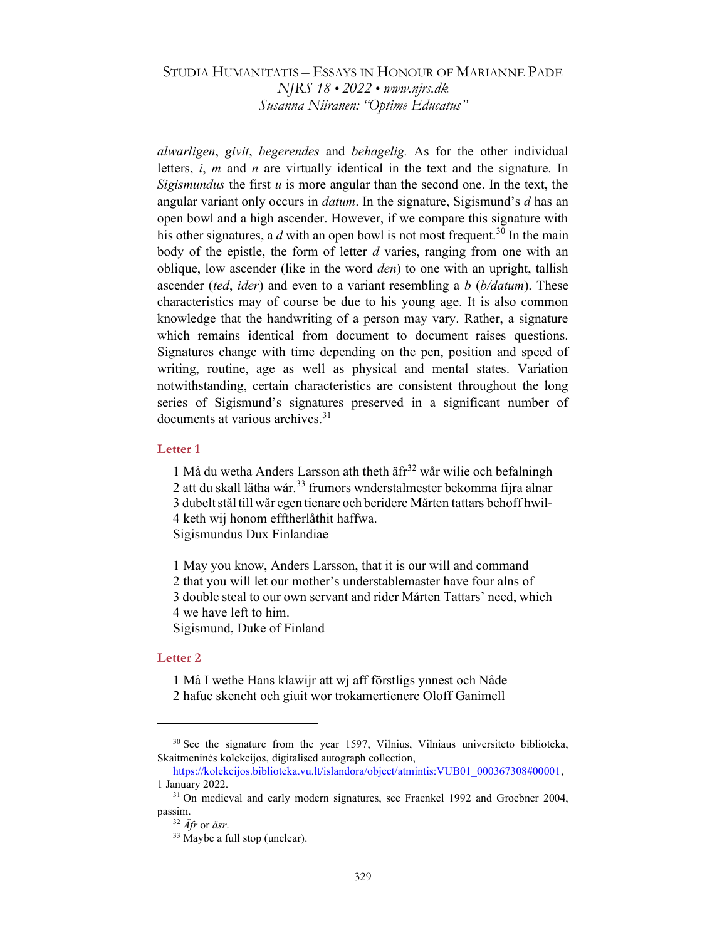alwarligen, givit, begerendes and behagelig. As for the other individual letters,  $i$ ,  $m$  and  $n$  are virtually identical in the text and the signature. In Sigismundus the first  $u$  is more angular than the second one. In the text, the angular variant only occurs in *datum*. In the signature, Sigismund's d has an open bowl and a high ascender. However, if we compare this signature with his other signatures, a d with an open bowl is not most frequent.<sup>30</sup> In the main body of the epistle, the form of letter  $d$  varies, ranging from one with an oblique, low ascender (like in the word *den*) to one with an upright, tallish ascender (ted, ider) and even to a variant resembling a  $b$  ( $b$ /datum). These characteristics may of course be due to his young age. It is also common knowledge that the handwriting of a person may vary. Rather, a signature which remains identical from document to document raises questions. Signatures change with time depending on the pen, position and speed of writing, routine, age as well as physical and mental states. Variation notwithstanding, certain characteristics are consistent throughout the long series of Sigismund's signatures preserved in a significant number of documents at various archives.<sup>31</sup>

# Letter 1

1 Må du wetha Anders Larsson ath theth äfr<sup>32</sup> wår wilie och befalningh 2 att du skall lätha wår.<sup>33</sup> frumors wnderstalmester bekomma fijra alnar 3 dubelt stål till wår egen tienare och beridere Mårten tattars behoff hwil-4 keth wij honom efftherlåthit haffwa. Sigismundus Dux Finlandiae

1 May you know, Anders Larsson, that it is our will and command 2 that you will let our mother's understablemaster have four alns of 3 double steal to our own servant and rider Mårten Tattars' need, which 4 we have left to him. Sigismund, Duke of Finland

#### Letter 2

1 Må I wethe Hans klawijr att wj aff förstligs ynnest och Nåde 2 hafue skencht och giuit wor trokamertienere Oloff Ganimell

<sup>&</sup>lt;sup>30</sup> See the signature from the year 1597, Vilnius, Vilniaus universiteto biblioteka, Skaitmeninės kolekcijos, digitalised autograph collection,

https://kolekcijos.biblioteka.vu.lt/islandora/object/atmintis:VUB01\_000367308#00001, 1 January 2022.

<sup>&</sup>lt;sup>31</sup> On medieval and early modern signatures, see Fraenkel 1992 and Groebner 2004, passim.

 $32$  *Äfr* or *äsr*.

<sup>&</sup>lt;sup>33</sup> Maybe a full stop (unclear).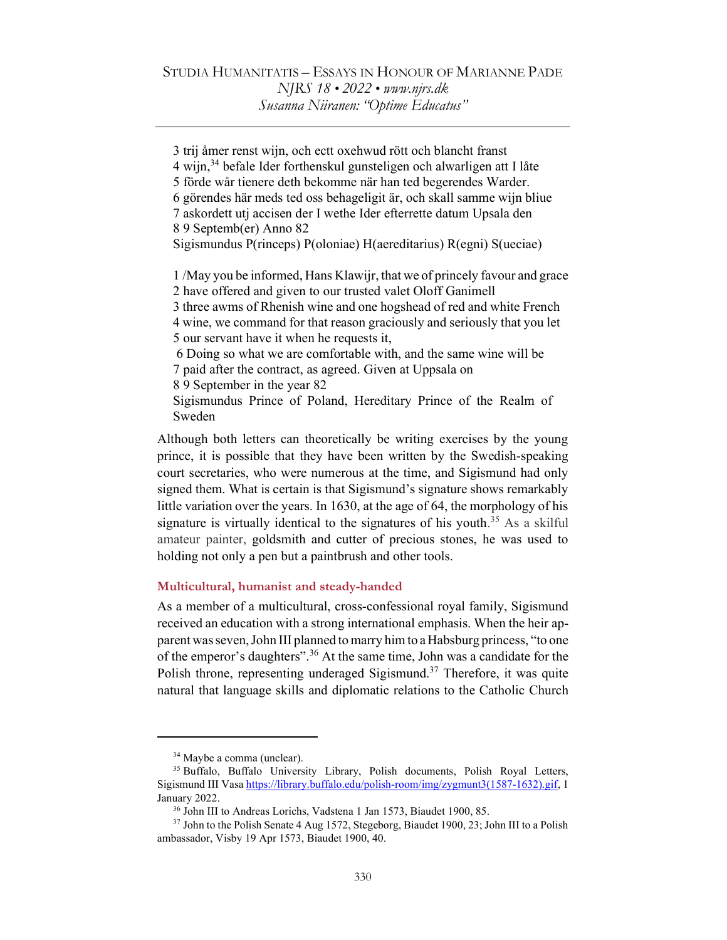3 trij åmer renst wijn, och ectt oxehwud rött och blancht franst 4 wijn,<sup>34</sup> befale Ider forthenskul gunsteligen och alwarligen att I låte 5 förde wår tienere deth bekomme när han ted begerendes Warder. 6 görendes här meds ted oss behageligit är, och skall samme wijn bliue 7 askordett utj accisen der I wethe Ider efterrette datum Upsala den 8 9 Septemb(er) Anno 82 Sigismundus P(rinceps) P(oloniae) H(aereditarius) R(egni) S(ueciae) 1 /May you be informed, Hans Klawijr, that we of princely favour and grace 2 have offered and given to our trusted valet Oloff Ganimell 3 three awms of Rhenish wine and one hogshead of red and white French 4 wine, we command for that reason graciously and seriously that you let 5 our servant have it when he requests it, 6 Doing so what we are comfortable with, and the same wine will be 7 paid after the contract, as agreed. Given at Uppsala on 8 9 September in the year 82 Sigismundus Prince of Poland, Hereditary Prince of the Realm of Sweden Although both letters can theoretically be writing exercises by the young

prince, it is possible that they have been written by the Swedish-speaking court secretaries, who were numerous at the time, and Sigismund had only signed them. What is certain is that Sigismund's signature shows remarkably little variation over the years. In 1630, at the age of 64, the morphology of his signature is virtually identical to the signatures of his youth.<sup>35</sup> As a skilful amateur painter, goldsmith and cutter of precious stones, he was used to holding not only a pen but a paintbrush and other tools.

### Multicultural, humanist and steady-handed

As a member of a multicultural, cross-confessional royal family, Sigismund received an education with a strong international emphasis. When the heir apparent was seven, John III planned to marry him to a Habsburg princess, "to one of the emperor's daughters".<sup>36</sup> At the same time, John was a candidate for the Polish throne, representing underaged Sigismund.<sup>37</sup> Therefore, it was quite natural that language skills and diplomatic relations to the Catholic Church

<sup>&</sup>lt;sup>34</sup> Maybe a comma (unclear).

<sup>&</sup>lt;sup>35</sup> Buffalo, Buffalo University Library, Polish documents, Polish Royal Letters, Sigismund III Vasa https://library.buffalo.edu/polish-room/img/zygmunt3(1587-1632).gif, 1 January 2022.

<sup>36</sup> John III to Andreas Lorichs, Vadstena 1 Jan 1573, Biaudet 1900, 85.

<sup>&</sup>lt;sup>37</sup> John to the Polish Senate 4 Aug 1572, Stegeborg, Biaudet 1900, 23; John III to a Polish ambassador, Visby 19 Apr 1573, Biaudet 1900, 40.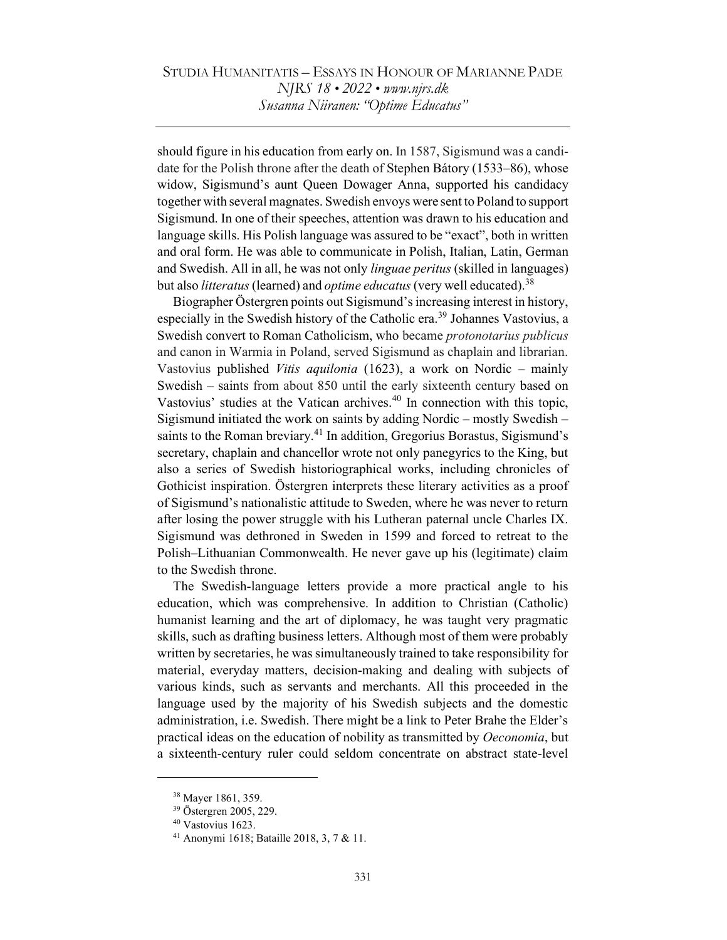should figure in his education from early on. In 1587, Sigismund was a candidate for the Polish throne after the death of Stephen Bátory (1533–86), whose widow, Sigismund's aunt Queen Dowager Anna, supported his candidacy together with several magnates. Swedish envoys were sent to Poland to support Sigismund. In one of their speeches, attention was drawn to his education and language skills. His Polish language was assured to be "exact", both in written and oral form. He was able to communicate in Polish, Italian, Latin, German and Swedish. All in all, he was not only linguae peritus (skilled in languages) but also *litteratus* (learned) and *optime educatus* (very well educated).<sup>38</sup>

Biographer Östergren points out Sigismund's increasing interest in history, especially in the Swedish history of the Catholic era.<sup>39</sup> Johannes Vastovius, a Swedish convert to Roman Catholicism, who became protonotarius publicus and canon in Warmia in Poland, served Sigismund as chaplain and librarian. Vastovius published Vitis aquilonia (1623), a work on Nordic – mainly Swedish – saints from about 850 until the early sixteenth century based on Vastovius' studies at the Vatican archives. $40$  In connection with this topic, Sigismund initiated the work on saints by adding Nordic – mostly Swedish – saints to the Roman breviary.<sup>41</sup> In addition, Gregorius Borastus, Sigismund's secretary, chaplain and chancellor wrote not only panegyrics to the King, but also a series of Swedish historiographical works, including chronicles of Gothicist inspiration. Östergren interprets these literary activities as a proof of Sigismund's nationalistic attitude to Sweden, where he was never to return after losing the power struggle with his Lutheran paternal uncle Charles IX. Sigismund was dethroned in Sweden in 1599 and forced to retreat to the Polish–Lithuanian Commonwealth. He never gave up his (legitimate) claim to the Swedish throne.

The Swedish-language letters provide a more practical angle to his education, which was comprehensive. In addition to Christian (Catholic) humanist learning and the art of diplomacy, he was taught very pragmatic skills, such as drafting business letters. Although most of them were probably written by secretaries, he was simultaneously trained to take responsibility for material, everyday matters, decision-making and dealing with subjects of various kinds, such as servants and merchants. All this proceeded in the language used by the majority of his Swedish subjects and the domestic administration, i.e. Swedish. There might be a link to Peter Brahe the Elder's practical ideas on the education of nobility as transmitted by Oeconomia, but a sixteenth-century ruler could seldom concentrate on abstract state-level

<sup>38</sup> Mayer 1861, 359.

<sup>39</sup> Östergren 2005, 229.

<sup>40</sup> Vastovius 1623.

<sup>41</sup> Anonymi 1618; Bataille 2018, 3, 7 & 11.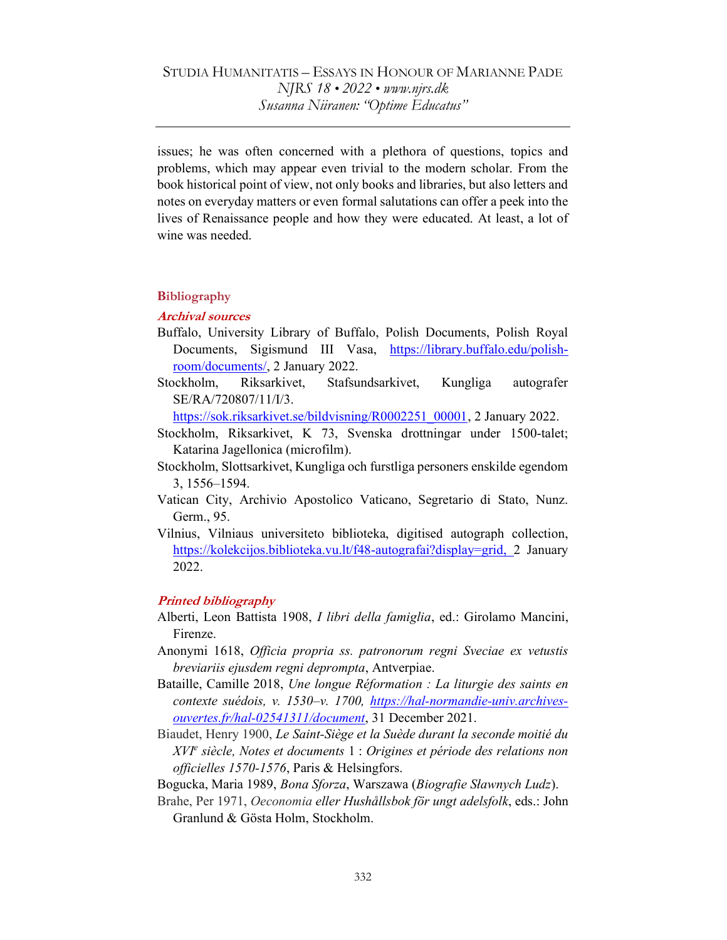issues; he was often concerned with a plethora of questions, topics and problems, which may appear even trivial to the modern scholar. From the book historical point of view, not only books and libraries, but also letters and notes on everyday matters or even formal salutations can offer a peek into the lives of Renaissance people and how they were educated. At least, a lot of wine was needed.

#### **Bibliography**

#### Archival sources

- Buffalo, University Library of Buffalo, Polish Documents, Polish Royal Documents, Sigismund III Vasa, https://library.buffalo.edu/polishroom/documents/, 2 January 2022.
- Stockholm, Riksarkivet, Stafsundsarkivet, Kungliga autografer SE/RA/720807/11/I/3.

https://sok.riksarkivet.se/bildvisning/R0002251\_00001, 2 January 2022.

- Stockholm, Riksarkivet, K 73, Svenska drottningar under 1500-talet; Katarina Jagellonica (microfilm).
- Stockholm, Slottsarkivet, Kungliga och furstliga personers enskilde egendom 3, 1556–1594.
- Vatican City, Archivio Apostolico Vaticano, Segretario di Stato, Nunz. Germ., 95.
- Vilnius, Vilniaus universiteto biblioteka, digitised autograph collection, https://kolekcijos.biblioteka.vu.lt/f48-autografai?display=grid, 2 January 2022.

#### Printed bibliography

- Alberti, Leon Battista 1908, I libri della famiglia, ed.: Girolamo Mancini, Firenze.
- Anonymi 1618, Officia propria ss. patronorum regni Sveciae ex vetustis breviariis ejusdem regni deprompta, Antverpiae.
- Bataille, Camille 2018, Une longue Réformation : La liturgie des saints en contexte suédois, v. 1530–v. 1700, https://hal-normandie-univ.archivesouvertes.fr/hal-02541311/document, 31 December 2021.
- Biaudet, Henry 1900, Le Saint-Siège et la Suède durant la seconde moitié du XVI<sup>e</sup> siècle, Notes et documents 1 : Origines et période des relations non officielles 1570-1576, Paris & Helsingfors.
- Bogucka, Maria 1989, Bona Sforza, Warszawa (Biografie Sławnych Ludz).
- Brahe, Per 1971, Oeconomia eller Hushållsbok för ungt adelsfolk, eds.: John Granlund & Gösta Holm, Stockholm.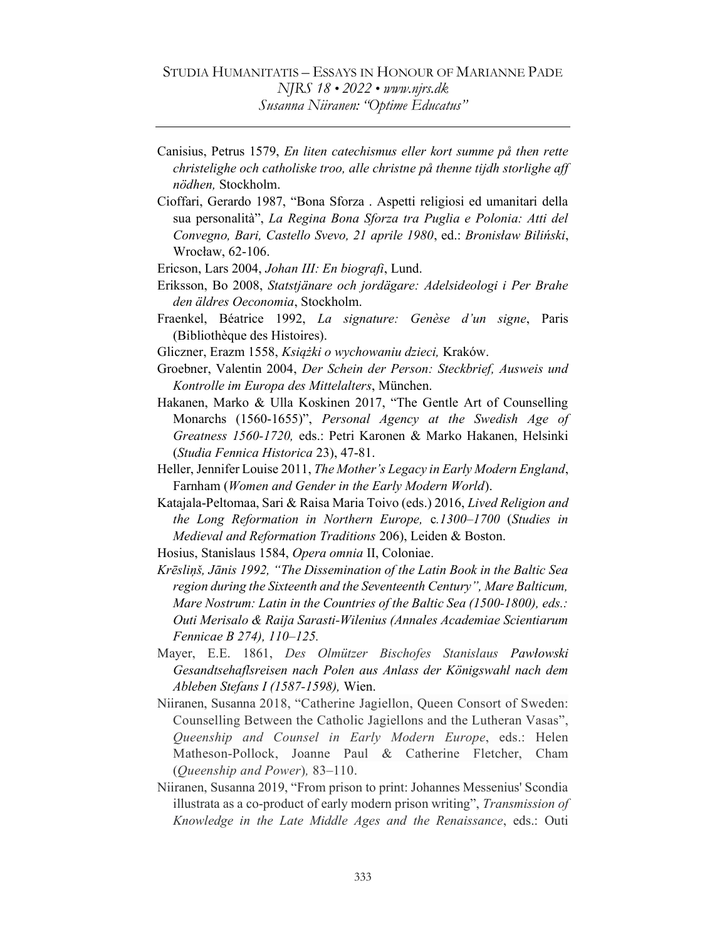- Canisius, Petrus 1579, En liten catechismus eller kort summe på then rette christelighe och catholiske troo, alle christne på thenne tijdh storlighe aff nödhen, Stockholm.
- Cioffari, Gerardo 1987, "Bona Sforza . Aspetti religiosi ed umanitari della sua personalità", La Regina Bona Sforza tra Puglia e Polonia: Atti del Convegno, Bari, Castello Svevo, 21 aprile 1980, ed.: Bronisław Biliński, Wrocław, 62-106.
- Ericson, Lars 2004, Johan III: En biografi, Lund.
- Eriksson, Bo 2008, Statstjänare och jordägare: Adelsideologi i Per Brahe den äldres Oeconomia, Stockholm.
- Fraenkel, Béatrice 1992, La signature: Genèse d'un signe, Paris (Bibliothèque des Histoires).
- Gliczner, Erazm 1558, Książki o wychowaniu dzieci, Kraków.
- Groebner, Valentin 2004, Der Schein der Person: Steckbrief, Ausweis und Kontrolle im Europa des Mittelalters, München.
- Hakanen, Marko & Ulla Koskinen 2017, "The Gentle Art of Counselling Monarchs (1560-1655)", Personal Agency at the Swedish Age of Greatness 1560-1720, eds.: Petri Karonen & Marko Hakanen, Helsinki (Studia Fennica Historica 23), 47-81.
- Heller, Jennifer Louise 2011, The Mother's Legacy in Early Modern England, Farnham (Women and Gender in the Early Modern World).
- Katajala-Peltomaa, Sari & Raisa Maria Toivo (eds.) 2016, Lived Religion and the Long Reformation in Northern Europe, c.1300–1700 (Studies in Medieval and Reformation Traditions 206), Leiden & Boston.
- Hosius, Stanislaus 1584, Opera omnia II, Coloniae.
- Krēsliņš, Jānis 1992, "The Dissemination of the Latin Book in the Baltic Sea region during the Sixteenth and the Seventeenth Century", Mare Balticum, Mare Nostrum: Latin in the Countries of the Baltic Sea (1500-1800), eds.: Outi Merisalo & Raija Sarasti-Wilenius (Annales Academiae Scientiarum Fennicae B 274), 110–125.
- Mayer, E.E. 1861, Des Olmützer Bischofes Stanislaus Pawłowski Gesandtsehaflsreisen nach Polen aus Anlass der Königswahl nach dem Ableben Stefans I (1587-1598), Wien.
- Niiranen, Susanna 2018, "Catherine Jagiellon, Queen Consort of Sweden: Counselling Between the Catholic Jagiellons and the Lutheran Vasas", Queenship and Counsel in Early Modern Europe, eds.: Helen Matheson-Pollock, Joanne Paul & Catherine Fletcher, Cham (Queenship and Power), 83–110.
- Niiranen, Susanna 2019, "From prison to print: Johannes Messenius' Scondia illustrata as a co-product of early modern prison writing", Transmission of Knowledge in the Late Middle Ages and the Renaissance, eds.: Outi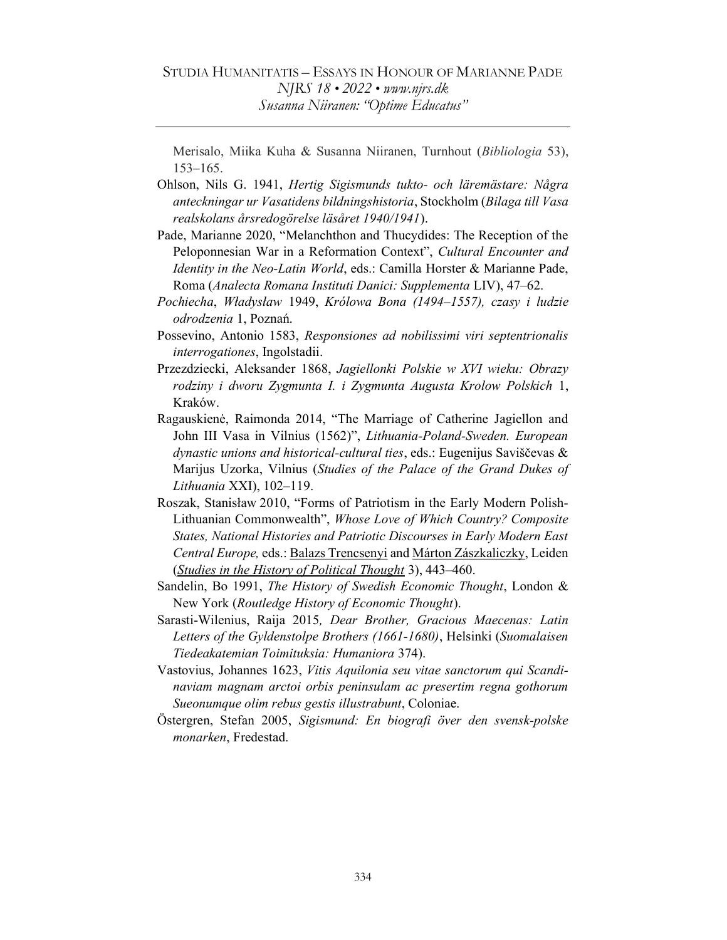Merisalo, Miika Kuha & Susanna Niiranen, Turnhout (Bibliologia 53), 153–165.

- Ohlson, Nils G. 1941, Hertig Sigismunds tukto- och läremästare: Några anteckningar ur Vasatidens bildningshistoria, Stockholm (Bilaga till Vasa realskolans årsredogörelse läsåret 1940/1941).
- Pade, Marianne 2020, "Melanchthon and Thucydides: The Reception of the Peloponnesian War in a Reformation Context", Cultural Encounter and Identity in the Neo-Latin World, eds.: Camilla Horster & Marianne Pade, Roma (Analecta Romana Instituti Danici: Supplementa LIV), 47–62.
- Pochiecha, Władysław 1949, Królowa Bona (1494–1557), czasy i ludzie odrodzenia 1, Poznań.
- Possevino, Antonio 1583, Responsiones ad nobilissimi viri septentrionalis interrogationes, Ingolstadii.
- Przezdziecki, Aleksander 1868, Jagiellonki Polskie w XVI wieku: Obrazy rodziny i dworu Zygmunta I. i Zygmunta Augusta Krolow Polskich 1, Kraków.
- Ragauskienė, Raimonda 2014, "The Marriage of Catherine Jagiellon and John III Vasa in Vilnius (1562)", Lithuania-Poland-Sweden. European dynastic unions and historical-cultural ties, eds.: Eugenijus Saviščevas & Marijus Uzorka, Vilnius (Studies of the Palace of the Grand Dukes of Lithuania XXI), 102–119.
- Roszak, Stanisław 2010, "Forms of Patriotism in the Early Modern Polish-Lithuanian Commonwealth", Whose Love of Which Country? Composite States, National Histories and Patriotic Discourses in Early Modern East Central Europe, eds.: Balazs Trencsenyi and Márton Zászkaliczky, Leiden (Studies in the History of Political Thought 3), 443–460.
- Sandelin, Bo 1991, The History of Swedish Economic Thought, London & New York (Routledge History of Economic Thought).
- Sarasti-Wilenius, Raija 2015, Dear Brother, Gracious Maecenas: Latin Letters of the Gyldenstolpe Brothers (1661-1680), Helsinki (Suomalaisen Tiedeakatemian Toimituksia: Humaniora 374).
- Vastovius, Johannes 1623, Vitis Aquilonia seu vitae sanctorum qui Scandinaviam magnam arctoi orbis peninsulam ac presertim regna gothorum Sueonumque olim rebus gestis illustrabunt, Coloniae.
- Östergren, Stefan 2005, Sigismund: En biografi över den svensk-polske monarken, Fredestad.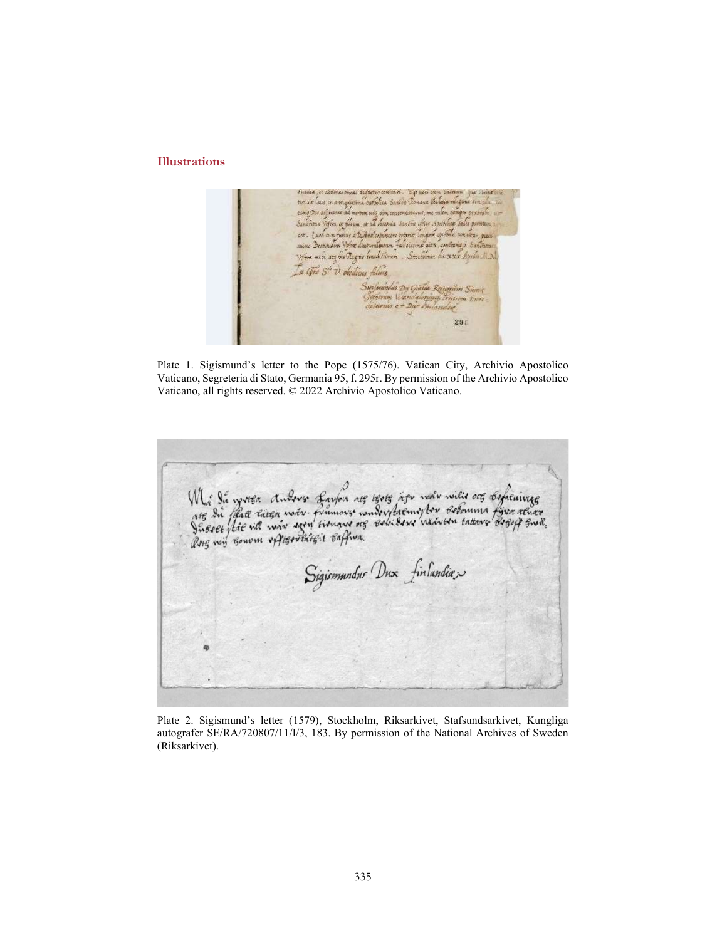#### Illustrations



Plate 1. Sigismund's letter to the Pope (1575/76). Vatican City, Archivio Apostolico Vaticano, Segreteria di Stato, Germania 95, f. 295r. By permission of the Archivio Apostolico Vaticano, all rights reserved. © 2022 Archivio Apostolico Vaticano.

Whi di novega Andons Lavfon auf trots agu noan will och befacuings<br>auf di flace tätsk noan framons wuderfacung lor telemma föra alvar<br>Dibret flac vill noan man tionans och varidens mansten tattans visseft smil. Sigismundus Dux fin landia;

Plate 2. Sigismund's letter (1579), Stockholm, Riksarkivet, Stafsundsarkivet, Kungliga autografer SE/RA/720807/11/I/3, 183. By permission of the National Archives of Sweden (Riksarkivet).